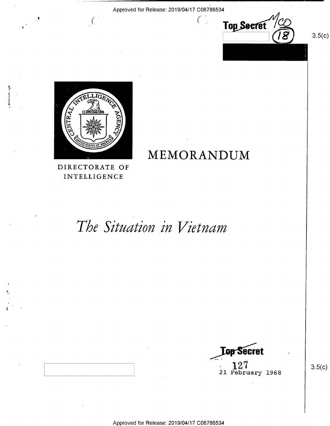

၁.၁(၄)



## MEMORANDUM

DIRECTORATE OF INTELLIGENCE

# The Situation in Vietnam



 $3.5(c)$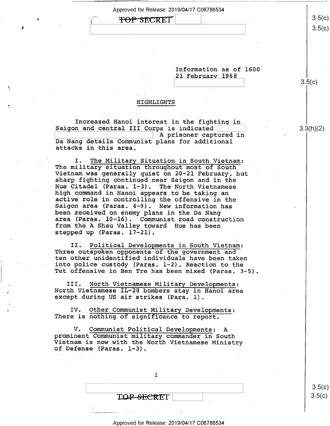<del>TOP SECRET</del> ə.ə(৩*)* Approved for Release: 2019/04/17 C06786534  $\sqrt{ }$  $\overline{\phantom{a}}$ 

Information as of 1600

 $\vert$   $\frac{3.5(6)}{2.5(6)}$ 

21 Februarv 1968 '

HIGHLIGHTS

,

Increased Hanoi interest in the fighting in  $\vert$ <br>Saigon and central III Corps is indicated  $\vert$  3.3(h)(2) \ A prisoner captured in Da Nang details Communist plans for additional attacks in this area. '

I. The Military Situation in South Vietnam:<br>The military situation throughout most of South<br>Vietnam was generally quiet on 20-21 February, but<br>sharp fighting continued near Saigon and in the<br>Hue Citadel (Paras. 1-3). The N high command in Hanoi appears to be taking an<br>active role in controlling the offensive in the<br>Saigon area (Paras. 4-9). New information has been received on enemy plans in the Da Nang<br>area (Paras. 10-16). Communist road construction from the A Shau Valley toward Hue has been stepped up (Paras. 17-21).

II. Political Developments in South Vietnam:<br>Three outspoken opponents of the government and<br>ten other unidentified individuals have been taken<br>into police custody (Paras. l-2). Reaction to the Tet offensive in Ben Tre has been mixed (Paras. 3-5).

III. North Vietnamese Military Developments: North Vietnamese IL-28 bombers stay in Hanoi area except during US air strikes (Para. l).

IV. Other Communist Military Developments: There is nothing of significance to report.

' V. Communist Political Developments: <sup>A</sup>prominent Communist military commander in South Vietnam is now with the North Vietnamese Ministry of Defense (Paras. 1-3).

i TQP-SECRET

 $3.5(c)$  $3.5(c)$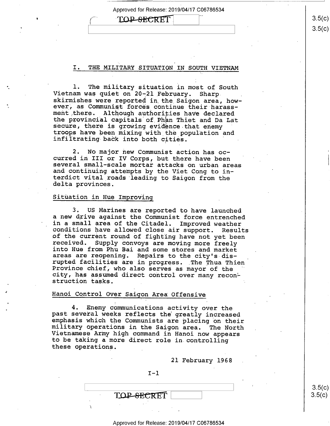## TOP-SECRET

I. THE MILITARY SITUATION IN SOUTH VIETNAM

1. The military situation in most of South<br>Vietnam was quiet on 20-21 February. Sharp<br>skirmishes were reported in the Saigon area, how-<br>ever, as Communist forces continue their harassment there. Although authorities have declared<br>the provincial capitals of Phan Thiet and Da Lat secure, there is growing evidence that enemy troops have been mixing with the population and infiltrating-back into both cities. '

2. No major new Communist action has oc-<br>curred in III or IV Corps, but there have been several small-scale mortar attacks on urban areas and continuing attempts by the Viet Cong to in-<br>terdict vital roads leading to Saigon from the<br>delta provinces.

## Situation in Hue Improving

3. US Marines are reported to have launched<br>a new drive against the Communist force entrenched in a small area of the Citadel. Improved weather<br>conditions have allowed close air support. Results<br>of the current round of fighting have not yet been<br>received. Supply convoys are moving more freely<br>into Hue from Phu Bai a city, has assumed direct control over many recon-<br>struction tasks.

### Hanoi Control Over Saigon Area Offensive

4. Enemy communications activity over the<br>past several weeks reflects the greatly increased<br>emphasis which the Communists are placing on their<br>military operations in the Saigon area. The North<br>Vietnamese Army high command these operations. \_

21 February 1968

| T — 1      |  |  |        |
|------------|--|--|--------|
|            |  |  |        |
| TOP-SECRET |  |  | 8.5(c) |
|            |  |  |        |

 $3.5(c)$ 

#### Approved for Release: 2019/04/17 C06786534

 $\vert$   $\sim$   $\vert$   $\sim$   $\vert$   $\sim$   $\vert$   $\sim$   $\sim$   $\vert$   $\sim$   $\sim$   $\vert$   $\sim$   $\sim$   $\vert$   $\sim$   $\sim$   $\vert$   $\sim$   $\sim$   $\vert$   $\sim$   $\sim$   $\vert$   $\sim$   $\sim$   $\vert$   $\sim$   $\sim$   $\vert$   $\sim$   $\sim$   $\vert$   $\sim$   $\sim$   $\vert$   $\sim$   $\sim$   $\vert$   $\sim$   $\sim$   $\vert$   $\sim$   $3.5(c)$  $3.5(c)$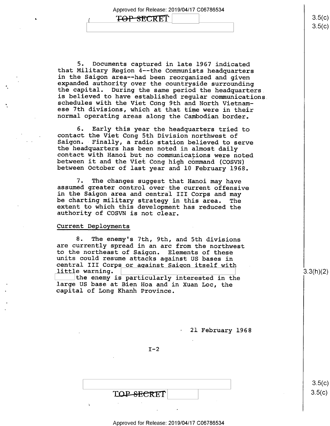# $\begin{array}{|c|c|c|c|}\n\hline\n\textbf{7}\Theta\textbf{P}-\textbf{S}\textbf{EC}\textbf{RET} & & & 3.5(c)\n\hline\n3.5(c) & & & 3.5(c)\n\hline\n\end{array}$

5. Documents captured in late 1967 indicated that Military Region 4--the Communists headquarters expanded authority over the countryside surrounding<br>the capital. During the same period the headquarters<br>is believed to have established regular communications. schedules with the Viet Cong 9th and North Vietnam-<br>ese 7th divisions, which at that time were in their<br>normal operating areas along the Cambodian border.

6. Early this year the headquarters tried to<br>contact the Viet Cong 5th Division northwest of<br>Saigon. Finally, a radio station believed to serve<br>the headquarters has been noted in almost daily<br>contact with Hanoi but no comm

7. The changes suggest that Hanoi may have<br>assumed greater control over the current offensive<br>in the Saigon area and central III Corps and may<br>be charting military strategy in this area. The<br>extent to which this developmen

#### Current Deployments

-

8. The enemy's 7th, 9th, and 5th divisions<br>are currently spread in an arc from the northwest<br>to the northeast of Saigon. Elements of these<br>units could resume attacks against US bases in<br>central III Corps or against Saigon

21 February 1968

 $I-2$ 

TOP-SECRET

 $3.5(c)$ 

 $3.5(c)$ 

 $\frac{1}{\sqrt{1-\frac{1}{\sqrt{1-\frac{1}{\sqrt{1-\frac{1}{\sqrt{1-\frac{1}{\sqrt{1-\frac{1}{\sqrt{1-\frac{1}{\sqrt{1-\frac{1}{\sqrt{1-\frac{1}{\sqrt{1-\frac{1}{\sqrt{1-\frac{1}{\sqrt{1-\frac{1}{\sqrt{1-\frac{1}{\sqrt{1-\frac{1}{\sqrt{1-\frac{1}{\sqrt{1-\frac{1}{\sqrt{1-\frac{1}{\sqrt{1-\frac{1}{\sqrt{1-\frac{1}{\sqrt{1-\frac{1}{\sqrt{1-\frac{1}{\sqrt{1-\frac{1}{\sqrt{1-\frac{1}{\sqrt{1-\frac{1}{\sqrt{1-\frac{1$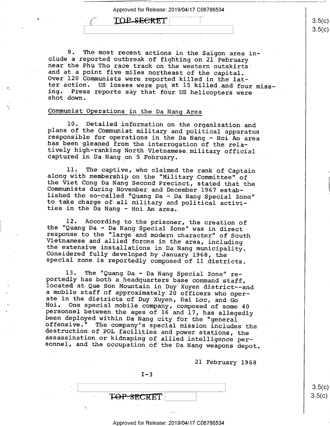## TOP SECRET

9. The most recent actions in the Saigon area in-<br>clude a reported outbreak of fighting on 21 February<br>near the Phu Tho race track on the western outskirts<br>and at a point five miles northeast of the capital.<br>Over 120 Commu shot down.

## Communist Operations\_in the Da Nang Area

10. Detailed information on the organization and<br>plans of the Communist military and political apparatus<br>responsible for operations in the Da Nang - Hoi An area<br>has been gleaned from the interrogation of the rela-<br>tively h

11. The captive, who claimed the rank of Captain<br>along with membership on the "Military Committee" of<br>the Viet Cong Da Nang Second Precinct, stated that the<br>Communists during November and December 1967 estab-<br>lished the so

12. According to the prisoner, the creation of<br>the "Quang Da - Da Nang Special Zone" was in direct<br>response to the "large and modern character" of South<br>Vietnamese and allied forces in the area, including<br>the extensive ins

13. The "Quang Da - Da Nang Special Zone" re-<br>portedly has both a headquarters base command staff,<br>located at Que-Son Mountain in Duy Xuyen district--and a mobile staff of approximately 20 officers who oper-<br>ate in the districts of Duy Xuyen, Dai Loc, and Go Noi. One special mobile company, composed of some 40<br>personnel between the ages of 16 and 17, has allegedly<br>been deployed within Da Nang city for the "general<br>offensive." The company's special mission includes the<br>destruct

 $I - 3$ 

T<del>OP SEC</del>RET

\ \

2l February 1968

 $3.5(c)$  $3.5(c)$ 

#### Approved for Release: 2019/04/17 C06786534

 $\frac{1}{1}$   $\frac{3.5(0)}{0.5}$  $\sqrt{ }$  $3.5(c)$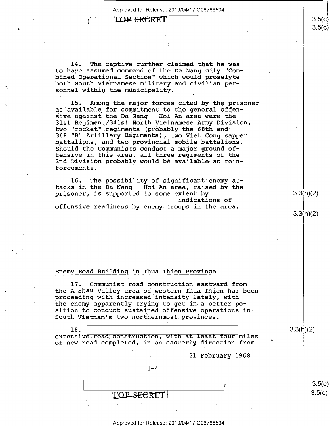. The state of the state of the state of the state of the state of the state of the state of the state of the state of the state of the state of the state of the state of the state of the state of the state of the state o

C'

## TOP-SECRET

14. The captive further claimed that he was to have assumed command of the Da Nang city "Com— bined Operational Section" which would proselyteboth South Vietnamese military and civilian personnel within the municipality.

15, Among the major forces cited by the prisoner' as available for commitment to the general offensive against the Da Nang - Hoi An area were the<br>31st Regiment/341st North Vietnamese Army Division, two "rocket" regiments (probably the 68th and 368 "B" Artillery Regiments), two Viet Cong sapper battalions, and two\_provincial mobile battalions. Should the Communists conduct a major ground offensive in this area, all three regiments of the 2nd Division probably would be available as reinforcements.

16. The possibility of significant enemy attacks in the Da Nang — Hoi An area, raised by the prisoner, is supported to some extent by  $3.3(h)(2)$ <br>indications of  $\frac{1}{\sqrt{55}}$  indications of offensive readiness by enemy troops in the area.

## Enemy Road Building in Thua Thien Province

17. Communist road construction eastward from . the A Shau Valley area of western Thua Thien has been proceeding with increased intensity lately, with the enemy apparently trying to get in a better position to conduct sustained offensive operations in-South-Vietnam's two northernmost provinces.

#### 18.

' -'

**I** . The second contract the second contract of the second contract of the second contract of the second contract of

 $\frac{3.3(1)(2)}{2}$ extensive road construction, with at least four miles of new road completed, in an easterly direction from

. 21 February 1968

 $I-4$ 

' i TOP SECRET

3.3(h)(2)

 $3.5(c)$ 

 $3.5(c)$ 

3.5(c)  $3.5(c)$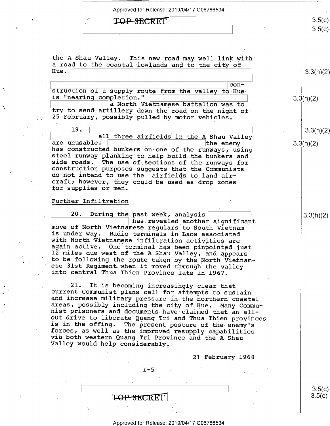Approved for Release: 2019/04/17 C06786534  $3.5(c)$ TOP-SECRET  $3.5(c)$ -the A Shau Valley. This new road may well link with" a road to the coastal lowlands and to the city of Hue. 3.3(h)(2) e  $\frac{1}{\text{cosh} \cdot \text{cosh}}$  of a supply route from the valley to-Hue= is "nearing completion." \ \ 3IflhX2) E::::::::::%:::]a North Vietnamese.battalion was to . try to send artillery down the road on the night of-25 February, possibly pulled by motor vehicles. 19 .  $3.3(h)(2)$  $\begin{tabular}{|l|l|} \hline & all three airfields in the A Shaw Valley are unusable. \hline \end{tabular}$ are unusable. <br>
has constructed bunkers on one of the runways, using steel runway planking to help build the bunkers and side roads. The use of sections of the runways for construction purposes suggests that the Communists do not intend to use the airfields to land aircraft; however, they could be used as drop zones for supplies or men. Further Infiltration 20. During the past week, analysis  $\begin{array}{|l|l|} \hline 20. & \text{During the past week, analysis} \hline & \text{has revealed another significant} \hline \end{array}$ move of North Vietnamese regulars to South Vietnam<br>is under way. Radio terminals in Laos associated<br>with North Vietnamese infiltration activities are<br>again active. One terminal has been pinpointed just<br>12 miles due west of 21. It is becoming increasingly clear that<br>current Communist plans call for attempts to sustain<br>and increase military pressure in the northern coastal<br>areas, possibly including the city of Hue. Many Commu-<br>nist prisoners a 21 February 1968  $I - 5$  $3.5(c)$  $\qquad \qquad$   $\qquad \qquad$   $\qquad \qquad$   $\qquad \qquad$   $\qquad \qquad$   $\qquad \qquad$   $\qquad \qquad$   $\qquad \qquad$   $\qquad \qquad$   $\qquad \qquad$   $\qquad \qquad$   $\qquad \qquad$   $\qquad \qquad$   $\qquad \qquad$   $\qquad \qquad$   $\qquad \qquad$   $\qquad \qquad$   $\qquad \qquad$   $\qquad \qquad$   $\qquad \qquad$   $\qquad \qquad$   $\qquad \qquad$   $\qquad \qquad$   $\qquad \qquad$   $\qquad \$  $3.5(c)$ TOP SECRET I

t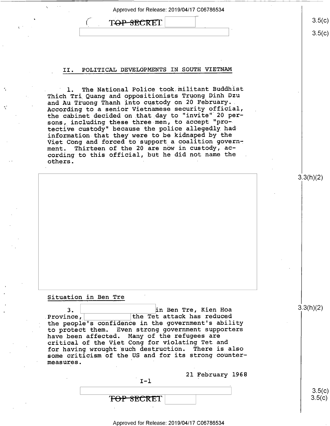|                 | Approved for Release: 2019/04/17 C06786534                                                                                                                                                                                                                                                                                                                                                                                      |                  |
|-----------------|---------------------------------------------------------------------------------------------------------------------------------------------------------------------------------------------------------------------------------------------------------------------------------------------------------------------------------------------------------------------------------------------------------------------------------|------------------|
|                 | T <del>OP SEC</del> RET                                                                                                                                                                                                                                                                                                                                                                                                         | 3.5(c)           |
|                 |                                                                                                                                                                                                                                                                                                                                                                                                                                 | 3.5(c)           |
|                 |                                                                                                                                                                                                                                                                                                                                                                                                                                 |                  |
|                 |                                                                                                                                                                                                                                                                                                                                                                                                                                 |                  |
| II.             | POLITICAL DEVELOPMENTS IN SOUTH VIETNAM                                                                                                                                                                                                                                                                                                                                                                                         |                  |
| $\mathbf{1}$ .  | The National Police took militant Buddhist<br>Thich Tri Quang and oppositionists Truong Dinh Dzu<br>and Au Truong Thanh into custody on 20 February.<br>According to a senior Vietnamese security official,<br>the cabinet decided on that day to "invite" 20 per-<br>sons, including these three men, to accept "pro-<br>tective custody" because the police allegedly had<br>information that they were to be kidnaped by the |                  |
|                 | Viet Cong and forced to support a coalition govern-<br>ment. Thirteen of the 20 are now in custody, ac-<br>cording to this official, but he did not name the                                                                                                                                                                                                                                                                    |                  |
| others.         |                                                                                                                                                                                                                                                                                                                                                                                                                                 |                  |
|                 |                                                                                                                                                                                                                                                                                                                                                                                                                                 | 3.3(h)(2)        |
|                 |                                                                                                                                                                                                                                                                                                                                                                                                                                 |                  |
|                 |                                                                                                                                                                                                                                                                                                                                                                                                                                 |                  |
|                 |                                                                                                                                                                                                                                                                                                                                                                                                                                 |                  |
|                 |                                                                                                                                                                                                                                                                                                                                                                                                                                 |                  |
|                 |                                                                                                                                                                                                                                                                                                                                                                                                                                 |                  |
|                 |                                                                                                                                                                                                                                                                                                                                                                                                                                 |                  |
|                 |                                                                                                                                                                                                                                                                                                                                                                                                                                 |                  |
|                 |                                                                                                                                                                                                                                                                                                                                                                                                                                 |                  |
|                 | Situation in Ben Tre                                                                                                                                                                                                                                                                                                                                                                                                            |                  |
| 3.<br>Province, | in Ben Tre, Kien Hoa<br>the Tet attack has reduced<br>the people's confidence in the government's ability<br>to protect them. Even strong government supporters<br>have been affected. Many of the refugees are<br>critical of the Viet Cong for violating Tet and<br>for having wrought such destruction.<br>There is also                                                                                                     | 3.3(h)(2)        |
| measures.       | some criticism of the US and for its strong counter-                                                                                                                                                                                                                                                                                                                                                                            |                  |
|                 | 21 February 1968<br>$I - 1$                                                                                                                                                                                                                                                                                                                                                                                                     |                  |
|                 |                                                                                                                                                                                                                                                                                                                                                                                                                                 | 3.5(c)<br>3.5(c) |
|                 | ' <del>FOP SECRE</del> T                                                                                                                                                                                                                                                                                                                                                                                                        |                  |

 $\hat{\mathcal{L}}$ 

 $\frac{p}{\epsilon}$ 

 $\frac{\mathbf{v}^{\mathrm{d}}}{\mathbf{b}}$ 

 $\bar{\alpha}$  $\bar{\mathcal{A}}$ 

 $\ddot{\phantom{0}}$ 

 $\mathcal{A}^{\mathcal{A}}$ 

 $\sim$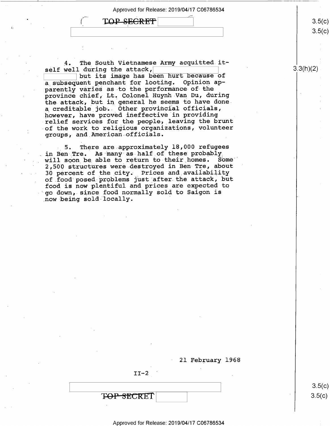$\text{TOP}$  secrets  $\vert$  3.5(c)

4. The South Vietnamese Army acquitted itself well during the attack,  $\frac{1}{\sqrt{3.3(h)(2)}}$ 

but its image has been hurt because of<br>uent penchant for looting. Opinion apa subsequent penchant for looting. parently varies as to the performance of the province chief, Lt, Colonel Huynh-Van Du, during the attack, but in general he seems to have done a creditable job. Other provincial officials, however, have proved ineffective in providing relief services for the people, leaving the brunt of the work to religious organizations, volunteer groups, and American officials.

5. There are approximately 18,000 refugees in Ben Tre. As many as ha1f.of these probably. will soon be able to return to their homes. Some 2,500 structures were destroyed in Ben Tre, about 30 percent of the city. Prices and availability of.food'posed problems just after the attack, but food is now plentiful and prices are expected to go down, since food normally sold to Saigon is now being sold locally.

21 February 1968

 $II-2$ 

\ \

 $T\Theta P - SECRET$  s.5(c)

 $3.5(c)$ 

 $\vert$  s.5(C)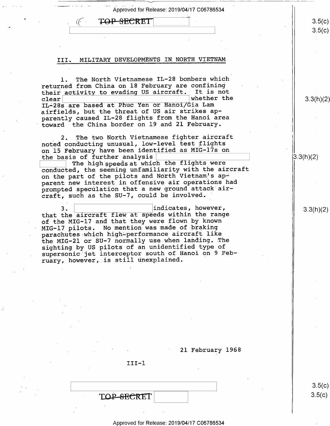| $\cdots$ | Approved for Release: 2019/04/17 C06786534 |  |
|----------|--------------------------------------------|--|

\ \ 3.5 /\/\ O0 \/\/

## $TOP-SECTION$

### III. MILITARY DEVELOPMENTS IN NORTH VIETNAM

l. The North Vietnamese IL-28 bombers which returned from China on l8 February are confining their activity to evading US aircraft. It is not<br>clear clear  $\vert$  whether the  $\vert$  3.3(h)(2)  $\vert$  3.3(h)(2) IL-28s are based at Phuc Yen or Hanoi/Gia Lam airfields, but the threat of US air strikes apparently caused IL-28 flights from the Hanoi area toward the China border on l9 and 21 February.

2. The two North Vietnamese fighter aircraft noted conducting unusual, low-level test flights on 15 February have been identified as MIG-17s on the basis of further analysis  $\vert$  (3.3(h)(2)

The high speeds at which the flights were conducted, the seeming unfamiliarity with the aircraft on the part of the pilots and North Vietnam's apparent new interest in offensive air operations had prompted speculation that a new ground attack aircraft, such as the SU-7, could be involved.

 $3 \,$ 3.  $\begin{array}{|l|l|} \hline \text{3.3(h)}(2) & \text{1ndicates, however,} \end{array}$  3.3(h)(2) of the MIG-l7 and that they were flown by known MIG—l7 pilots. No mention was made of-braking parachutes which high-performance aircraft like the MIG—2l or SU-7 normally use when landing. The sighting by US pilots of an unidentified type of supersonic jet interceptor south of Hanoi on 9 February, however, is still unexplained. '

21 February 1968

III—l

 $\overline{\phantom{a}}$  . The contract of the contract of the contract of the contract of the contract of the contract of the contract of the contract of the contract of the contract of the contract of the contract of the contract of  $\text{TOP-SECRET}$   $3.5(c)$ 

Approved for Release: 2019/04/17 C06786534

 $3.5(c)$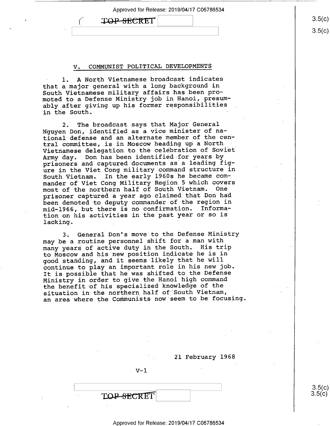## **TOP-SECRET**

 $\left($ 

#### V. CQMMUNIST POLITICAL DEVELOPMENTS

1. A North Vietnamese broadcast indicates that a major general with a long background in South Vietnamese military affairs has been promoted to a Defense Ministry job in Hanoi, presumably after giving up his former responsibilities in the South.

2. The broadcast says that Major General Nguyen Don, identified as'a vice minister of national defense and an alternate member of the central committee, is in Moscow heading up a North Vietnamese delegation to the celebration of Soviet<br>Army day. Don has been identified for years by prisoners and captured documents as a leading figure in the Viet Cong military command structure in South Vietnam. In the early 1960s he became commander of Viet Cong Military Region 5 which covers most of the northern half of South Vietnam. prisoner captured a year ago claimed that Don had been demoted to deputy commander of the region in<br>mid-1966, but there is no confirmation. Informamid-1966, but there is no confirmation. tion on his activities in the past year or so is lacking.

3. General.Don's move to the Defense Ministry may be a routine personnel shift for a man with many years of active duty in the South. His trip to Moscow and his new position indicate he is in good standing, and it seems likely that he will continue to play an important role in his new job. It is possible that he was shifted to the Defense Ministry in order to give the Hanoi high command the benefit of his specialized knowledge of the situation in the northern half of South Vietnam, an area where the Communists now seem to be focusing

21 February 1968

 $V-1$ 

TOP-SECRET

 $3.5(c)$ <br> $3.5(c)$ 

Approved for Release: 2019/04/17 C06786534

 $3.5(c)$  $3.5(c)$